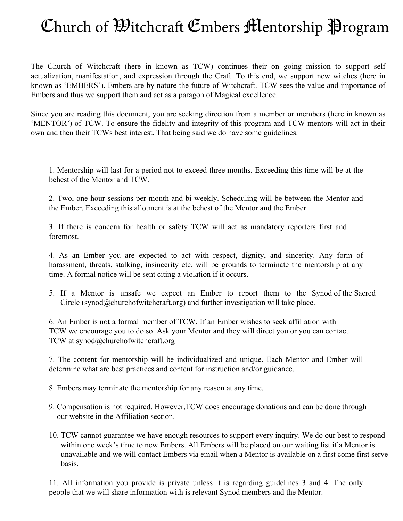## Church of *Witchcraft* Embers Mentorship Program

The Church of Witchcraft (here in known as TCW) continues their on going mission to support self actualization, manifestation, and expression through the Craft. To this end, we support new witches (here in known as 'EMBERS'). Embers are by nature the future of Witchcraft. TCW sees the value and importance of Embers and thus we support them and act as a paragon of Magical excellence.

Since you are reading this document, you are seeking direction from a member or members (here in known as 'MENTOR') of TCW. To ensure the fidelity and integrity of this program and TCW mentors will act in their own and then their TCWs best interest. That being said we do have some guidelines.

1. Mentorship will last for a period not to exceed three months. Exceeding this time will be at the behest of the Mentor and TCW.

2. Two, one hour sessions per month and bi-weekly. Scheduling will be between the Mentor and the Ember. Exceeding this allotment is at the behest of the Mentor and the Ember.

3. If there is concern for health or safety TCW will act as mandatory reporters first and foremost.

4. As an Ember you are expected to act with respect, dignity, and sincerity. Any form of harassment, threats, stalking, insincerity etc. will be grounds to terminate the mentorship at any time. A formal notice will be sent citing a violation if it occurs.

5. If a Mentor is unsafe we expect an Ember to report them to the Synod of the Sacred Circle (synod@churchofwitchcraft.org) and further investigation will take place.

6. An Ember is not a formal member of TCW. If an Ember wishes to seek affiliation with TCW we encourage you to do so. Ask your Mentor and they will direct you or you can contact TCW at synod@churchofwitchcraft.org

7. The content for mentorship will be individualized and unique. Each Mentor and Ember will determine what are best practices and content for instruction and/or guidance.

8. Embers may terminate the mentorship for any reason at any time.

- 9. Compensation is not required. However,TCW does encourage donations and can be done through our website in the Affiliation section.
- 10. TCW cannot guarantee we have enough resources to support every inquiry. We do our best to respond within one week's time to new Embers. All Embers will be placed on our waiting list if a Mentor is unavailable and we will contact Embers via email when a Mentor is available on a first come first serve basis.

11. All information you provide is private unless it is regarding guidelines 3 and 4. The only people that we will share information with is relevant Synod members and the Mentor.